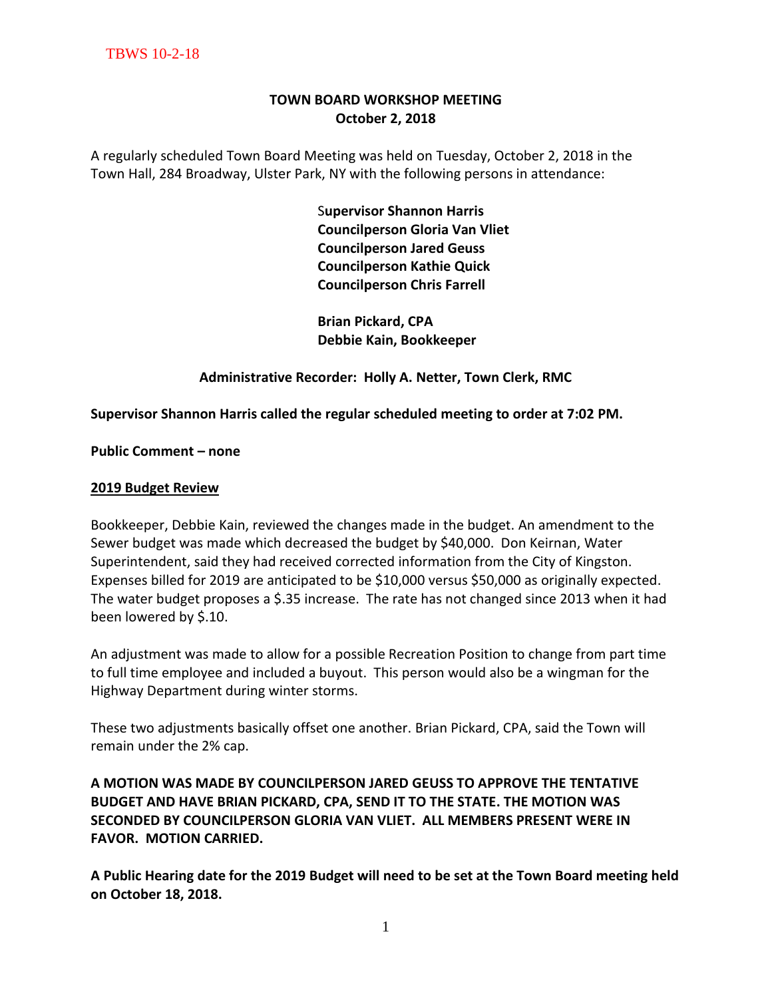# **TOWN BOARD WORKSHOP MEETING October 2, 2018**

A regularly scheduled Town Board Meeting was held on Tuesday, October 2, 2018 in the Town Hall, 284 Broadway, Ulster Park, NY with the following persons in attendance:

> S**upervisor Shannon Harris Councilperson Gloria Van Vliet Councilperson Jared Geuss Councilperson Kathie Quick Councilperson Chris Farrell**

**Brian Pickard, CPA Debbie Kain, Bookkeeper**

**Administrative Recorder: Holly A. Netter, Town Clerk, RMC**

**Supervisor Shannon Harris called the regular scheduled meeting to order at 7:02 PM.** 

**Public Comment – none**

#### **2019 Budget Review**

Bookkeeper, Debbie Kain, reviewed the changes made in the budget. An amendment to the Sewer budget was made which decreased the budget by \$40,000. Don Keirnan, Water Superintendent, said they had received corrected information from the City of Kingston. Expenses billed for 2019 are anticipated to be \$10,000 versus \$50,000 as originally expected. The water budget proposes a \$.35 increase. The rate has not changed since 2013 when it had been lowered by \$.10.

An adjustment was made to allow for a possible Recreation Position to change from part time to full time employee and included a buyout. This person would also be a wingman for the Highway Department during winter storms.

These two adjustments basically offset one another. Brian Pickard, CPA, said the Town will remain under the 2% cap.

**A MOTION WAS MADE BY COUNCILPERSON JARED GEUSS TO APPROVE THE TENTATIVE BUDGET AND HAVE BRIAN PICKARD, CPA, SEND IT TO THE STATE. THE MOTION WAS SECONDED BY COUNCILPERSON GLORIA VAN VLIET. ALL MEMBERS PRESENT WERE IN FAVOR. MOTION CARRIED.** 

**A Public Hearing date for the 2019 Budget will need to be set at the Town Board meeting held on October 18, 2018.**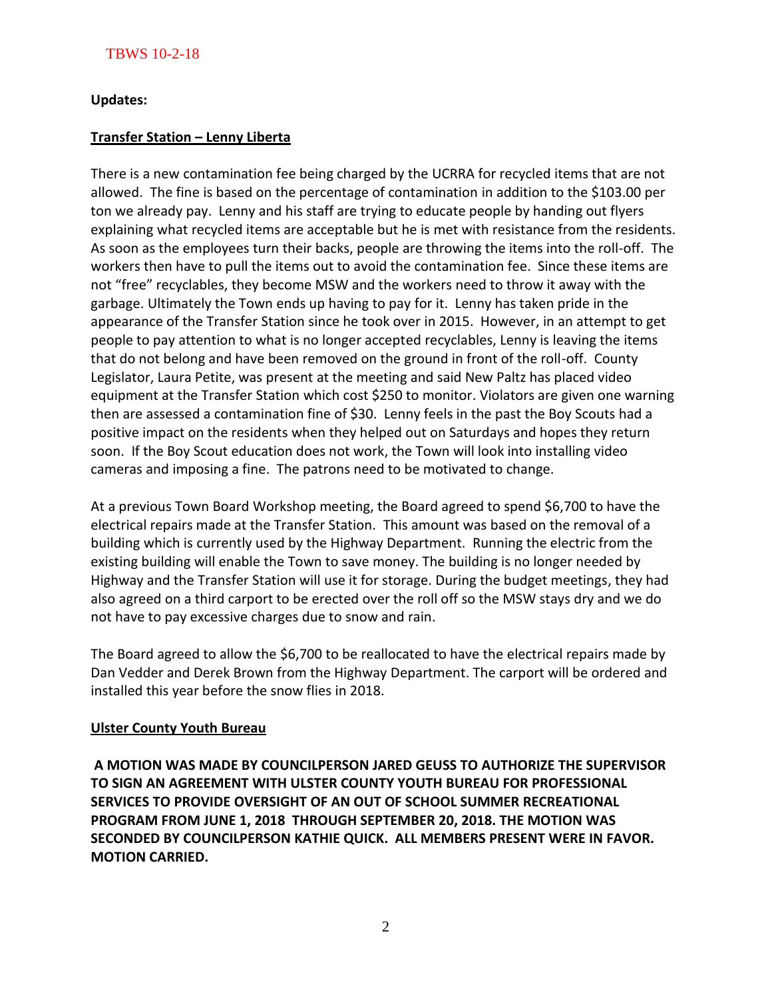#### **Updates:**

#### **Transfer Station – Lenny Liberta**

There is a new contamination fee being charged by the UCRRA for recycled items that are not allowed. The fine is based on the percentage of contamination in addition to the \$103.00 per ton we already pay. Lenny and his staff are trying to educate people by handing out flyers explaining what recycled items are acceptable but he is met with resistance from the residents. As soon as the employees turn their backs, people are throwing the items into the roll-off. The workers then have to pull the items out to avoid the contamination fee. Since these items are not "free" recyclables, they become MSW and the workers need to throw it away with the garbage. Ultimately the Town ends up having to pay for it. Lenny has taken pride in the appearance of the Transfer Station since he took over in 2015. However, in an attempt to get people to pay attention to what is no longer accepted recyclables, Lenny is leaving the items that do not belong and have been removed on the ground in front of the roll-off. County Legislator, Laura Petite, was present at the meeting and said New Paltz has placed video equipment at the Transfer Station which cost \$250 to monitor. Violators are given one warning then are assessed a contamination fine of \$30. Lenny feels in the past the Boy Scouts had a positive impact on the residents when they helped out on Saturdays and hopes they return soon. If the Boy Scout education does not work, the Town will look into installing video cameras and imposing a fine. The patrons need to be motivated to change.

At a previous Town Board Workshop meeting, the Board agreed to spend \$6,700 to have the electrical repairs made at the Transfer Station. This amount was based on the removal of a building which is currently used by the Highway Department. Running the electric from the existing building will enable the Town to save money. The building is no longer needed by Highway and the Transfer Station will use it for storage. During the budget meetings, they had also agreed on a third carport to be erected over the roll off so the MSW stays dry and we do not have to pay excessive charges due to snow and rain.

The Board agreed to allow the \$6,700 to be reallocated to have the electrical repairs made by Dan Vedder and Derek Brown from the Highway Department. The carport will be ordered and installed this year before the snow flies in 2018.

#### **Ulster County Youth Bureau**

**A MOTION WAS MADE BY COUNCILPERSON JARED GEUSS TO AUTHORIZE THE SUPERVISOR TO SIGN AN AGREEMENT WITH ULSTER COUNTY YOUTH BUREAU FOR PROFESSIONAL SERVICES TO PROVIDE OVERSIGHT OF AN OUT OF SCHOOL SUMMER RECREATIONAL PROGRAM FROM JUNE 1, 2018 THROUGH SEPTEMBER 20, 2018. THE MOTION WAS SECONDED BY COUNCILPERSON KATHIE QUICK. ALL MEMBERS PRESENT WERE IN FAVOR. MOTION CARRIED.**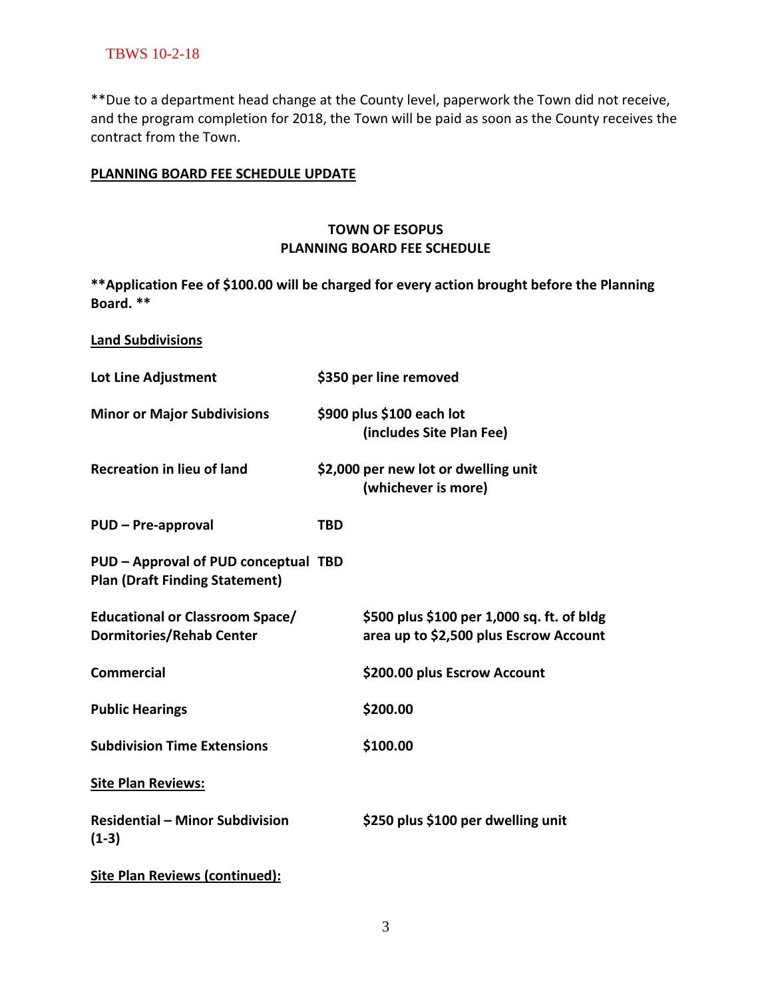\*\*Due to a department head change at the County level, paperwork the Town did not receive, and the program completion for 2018, the Town will be paid as soon as the County receives the contract from the Town.

## **PLANNING BOARD FEE SCHEDULE UPDATE**

# **TOWN OF ESOPUS PLANNING BOARD FEE SCHEDULE**

**\*\*Application Fee of \$100.00 will be charged for every action brought before the Planning Board. \*\***

| <b>Land Subdivisions</b>                                                      |                        |                                                                                      |
|-------------------------------------------------------------------------------|------------------------|--------------------------------------------------------------------------------------|
| Lot Line Adjustment                                                           | \$350 per line removed |                                                                                      |
| <b>Minor or Major Subdivisions</b>                                            |                        | \$900 plus \$100 each lot<br>(includes Site Plan Fee)                                |
| <b>Recreation in lieu of land</b>                                             |                        | \$2,000 per new lot or dwelling unit<br>(whichever is more)                          |
| PUD - Pre-approval                                                            | <b>TBD</b>             |                                                                                      |
| PUD - Approval of PUD conceptual TBD<br><b>Plan (Draft Finding Statement)</b> |                        |                                                                                      |
| <b>Educational or Classroom Space/</b><br><b>Dormitories/Rehab Center</b>     |                        | \$500 plus \$100 per 1,000 sq. ft. of bldg<br>area up to \$2,500 plus Escrow Account |
| <b>Commercial</b>                                                             |                        | \$200.00 plus Escrow Account                                                         |
| <b>Public Hearings</b>                                                        |                        | \$200.00                                                                             |
| <b>Subdivision Time Extensions</b>                                            |                        | \$100.00                                                                             |
| <b>Site Plan Reviews:</b>                                                     |                        |                                                                                      |
| <b>Residential - Minor Subdivision</b><br>$(1-3)$                             |                        | \$250 plus \$100 per dwelling unit                                                   |
| <b>Site Plan Reviews (continued):</b>                                         |                        |                                                                                      |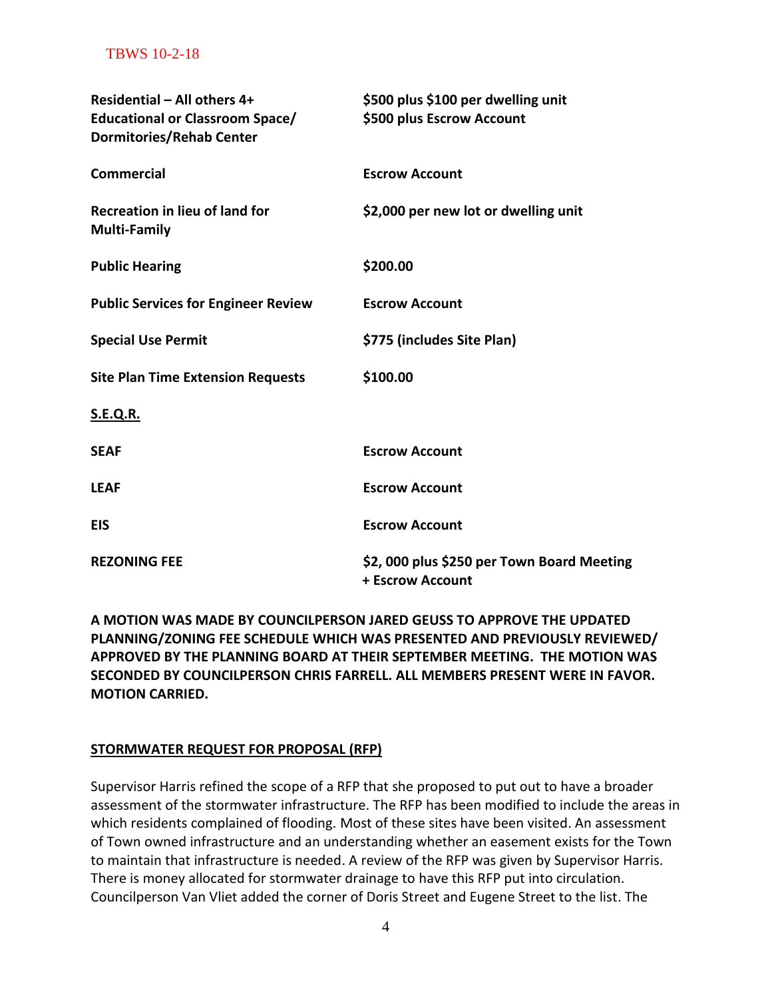| Residential - All others 4+<br><b>Educational or Classroom Space/</b><br><b>Dormitories/Rehab Center</b> | \$500 plus \$100 per dwelling unit<br>\$500 plus Escrow Account      |
|----------------------------------------------------------------------------------------------------------|----------------------------------------------------------------------|
| <b>Commercial</b>                                                                                        | <b>Escrow Account</b>                                                |
| Recreation in lieu of land for<br><b>Multi-Family</b>                                                    | \$2,000 per new lot or dwelling unit                                 |
| <b>Public Hearing</b>                                                                                    | \$200.00                                                             |
| <b>Public Services for Engineer Review</b>                                                               | <b>Escrow Account</b>                                                |
| <b>Special Use Permit</b>                                                                                | \$775 (includes Site Plan)                                           |
| <b>Site Plan Time Extension Requests</b>                                                                 | \$100.00                                                             |
| <b>S.E.Q.R.</b>                                                                                          |                                                                      |
| <b>SEAF</b>                                                                                              | <b>Escrow Account</b>                                                |
| <b>LEAF</b>                                                                                              | <b>Escrow Account</b>                                                |
| <b>EIS</b>                                                                                               | <b>Escrow Account</b>                                                |
| <b>REZONING FEE</b>                                                                                      | \$2,000 plus \$250 per Town Board Meeting<br><b>+ Escrow Account</b> |

**A MOTION WAS MADE BY COUNCILPERSON JARED GEUSS TO APPROVE THE UPDATED PLANNING/ZONING FEE SCHEDULE WHICH WAS PRESENTED AND PREVIOUSLY REVIEWED/ APPROVED BY THE PLANNING BOARD AT THEIR SEPTEMBER MEETING. THE MOTION WAS SECONDED BY COUNCILPERSON CHRIS FARRELL. ALL MEMBERS PRESENT WERE IN FAVOR. MOTION CARRIED.** 

#### **STORMWATER REQUEST FOR PROPOSAL (RFP)**

Supervisor Harris refined the scope of a RFP that she proposed to put out to have a broader assessment of the stormwater infrastructure. The RFP has been modified to include the areas in which residents complained of flooding. Most of these sites have been visited. An assessment of Town owned infrastructure and an understanding whether an easement exists for the Town to maintain that infrastructure is needed. A review of the RFP was given by Supervisor Harris. There is money allocated for stormwater drainage to have this RFP put into circulation. Councilperson Van Vliet added the corner of Doris Street and Eugene Street to the list. The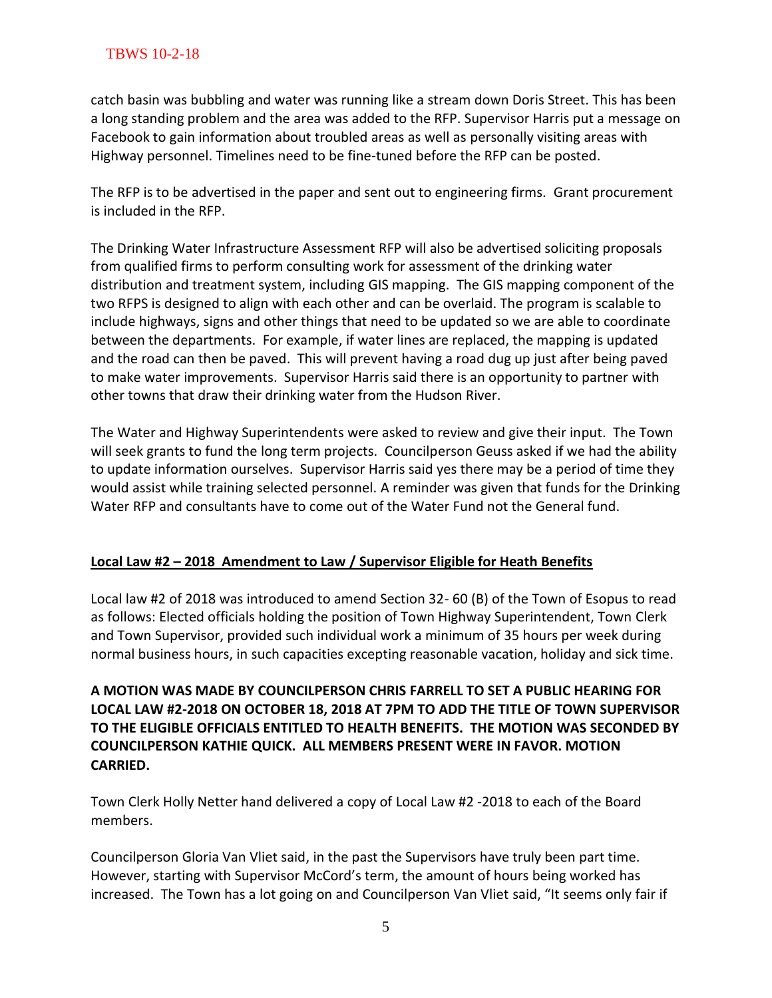catch basin was bubbling and water was running like a stream down Doris Street. This has been a long standing problem and the area was added to the RFP. Supervisor Harris put a message on Facebook to gain information about troubled areas as well as personally visiting areas with Highway personnel. Timelines need to be fine-tuned before the RFP can be posted.

The RFP is to be advertised in the paper and sent out to engineering firms. Grant procurement is included in the RFP.

The Drinking Water Infrastructure Assessment RFP will also be advertised soliciting proposals from qualified firms to perform consulting work for assessment of the drinking water distribution and treatment system, including GIS mapping. The GIS mapping component of the two RFPS is designed to align with each other and can be overlaid. The program is scalable to include highways, signs and other things that need to be updated so we are able to coordinate between the departments. For example, if water lines are replaced, the mapping is updated and the road can then be paved. This will prevent having a road dug up just after being paved to make water improvements. Supervisor Harris said there is an opportunity to partner with other towns that draw their drinking water from the Hudson River.

The Water and Highway Superintendents were asked to review and give their input. The Town will seek grants to fund the long term projects. Councilperson Geuss asked if we had the ability to update information ourselves. Supervisor Harris said yes there may be a period of time they would assist while training selected personnel. A reminder was given that funds for the Drinking Water RFP and consultants have to come out of the Water Fund not the General fund.

#### **Local Law #2 – 2018 Amendment to Law / Supervisor Eligible for Heath Benefits**

Local law #2 of 2018 was introduced to amend Section 32- 60 (B) of the Town of Esopus to read as follows: Elected officials holding the position of Town Highway Superintendent, Town Clerk and Town Supervisor, provided such individual work a minimum of 35 hours per week during normal business hours, in such capacities excepting reasonable vacation, holiday and sick time.

**A MOTION WAS MADE BY COUNCILPERSON CHRIS FARRELL TO SET A PUBLIC HEARING FOR LOCAL LAW #2-2018 ON OCTOBER 18, 2018 AT 7PM TO ADD THE TITLE OF TOWN SUPERVISOR TO THE ELIGIBLE OFFICIALS ENTITLED TO HEALTH BENEFITS. THE MOTION WAS SECONDED BY COUNCILPERSON KATHIE QUICK. ALL MEMBERS PRESENT WERE IN FAVOR. MOTION CARRIED.** 

Town Clerk Holly Netter hand delivered a copy of Local Law #2 -2018 to each of the Board members.

Councilperson Gloria Van Vliet said, in the past the Supervisors have truly been part time. However, starting with Supervisor McCord's term, the amount of hours being worked has increased. The Town has a lot going on and Councilperson Van Vliet said, "It seems only fair if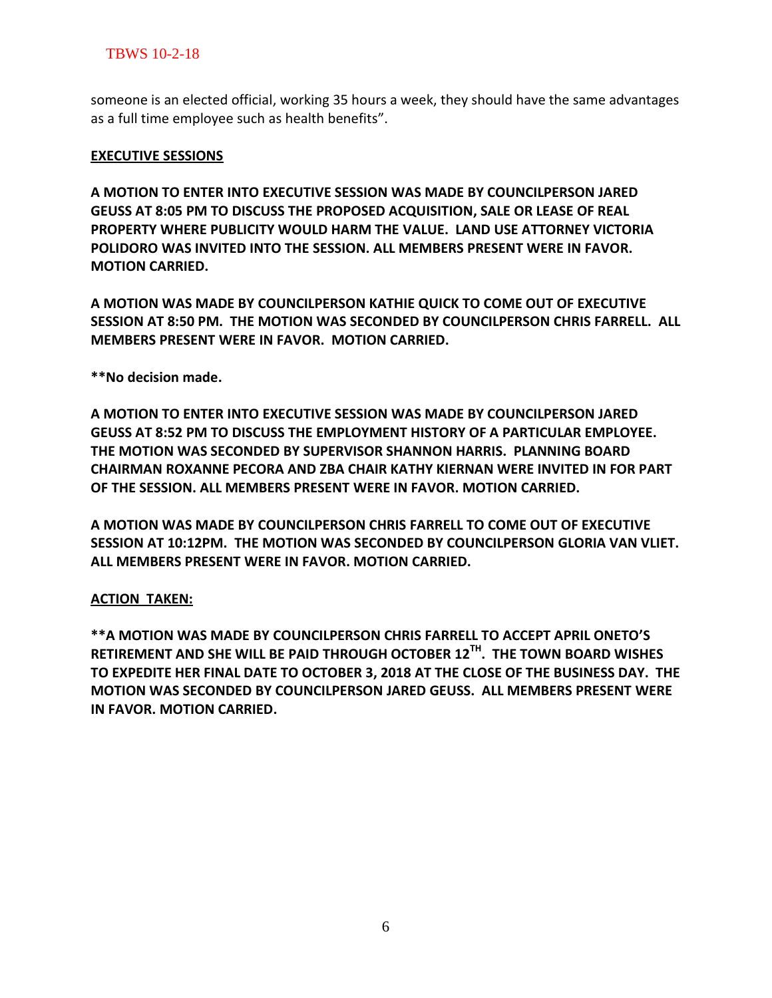someone is an elected official, working 35 hours a week, they should have the same advantages as a full time employee such as health benefits".

#### **EXECUTIVE SESSIONS**

**A MOTION TO ENTER INTO EXECUTIVE SESSION WAS MADE BY COUNCILPERSON JARED GEUSS AT 8:05 PM TO DISCUSS THE PROPOSED ACQUISITION, SALE OR LEASE OF REAL PROPERTY WHERE PUBLICITY WOULD HARM THE VALUE. LAND USE ATTORNEY VICTORIA POLIDORO WAS INVITED INTO THE SESSION. ALL MEMBERS PRESENT WERE IN FAVOR. MOTION CARRIED.** 

**A MOTION WAS MADE BY COUNCILPERSON KATHIE QUICK TO COME OUT OF EXECUTIVE SESSION AT 8:50 PM. THE MOTION WAS SECONDED BY COUNCILPERSON CHRIS FARRELL. ALL MEMBERS PRESENT WERE IN FAVOR. MOTION CARRIED.** 

**\*\*No decision made.**

**A MOTION TO ENTER INTO EXECUTIVE SESSION WAS MADE BY COUNCILPERSON JARED GEUSS AT 8:52 PM TO DISCUSS THE EMPLOYMENT HISTORY OF A PARTICULAR EMPLOYEE. THE MOTION WAS SECONDED BY SUPERVISOR SHANNON HARRIS. PLANNING BOARD CHAIRMAN ROXANNE PECORA AND ZBA CHAIR KATHY KIERNAN WERE INVITED IN FOR PART OF THE SESSION. ALL MEMBERS PRESENT WERE IN FAVOR. MOTION CARRIED.** 

**A MOTION WAS MADE BY COUNCILPERSON CHRIS FARRELL TO COME OUT OF EXECUTIVE SESSION AT 10:12PM. THE MOTION WAS SECONDED BY COUNCILPERSON GLORIA VAN VLIET. ALL MEMBERS PRESENT WERE IN FAVOR. MOTION CARRIED.** 

#### **ACTION TAKEN:**

**\*\*A MOTION WAS MADE BY COUNCILPERSON CHRIS FARRELL TO ACCEPT APRIL ONETO'S RETIREMENT AND SHE WILL BE PAID THROUGH OCTOBER 12TH. THE TOWN BOARD WISHES TO EXPEDITE HER FINAL DATE TO OCTOBER 3, 2018 AT THE CLOSE OF THE BUSINESS DAY. THE MOTION WAS SECONDED BY COUNCILPERSON JARED GEUSS. ALL MEMBERS PRESENT WERE IN FAVOR. MOTION CARRIED.**